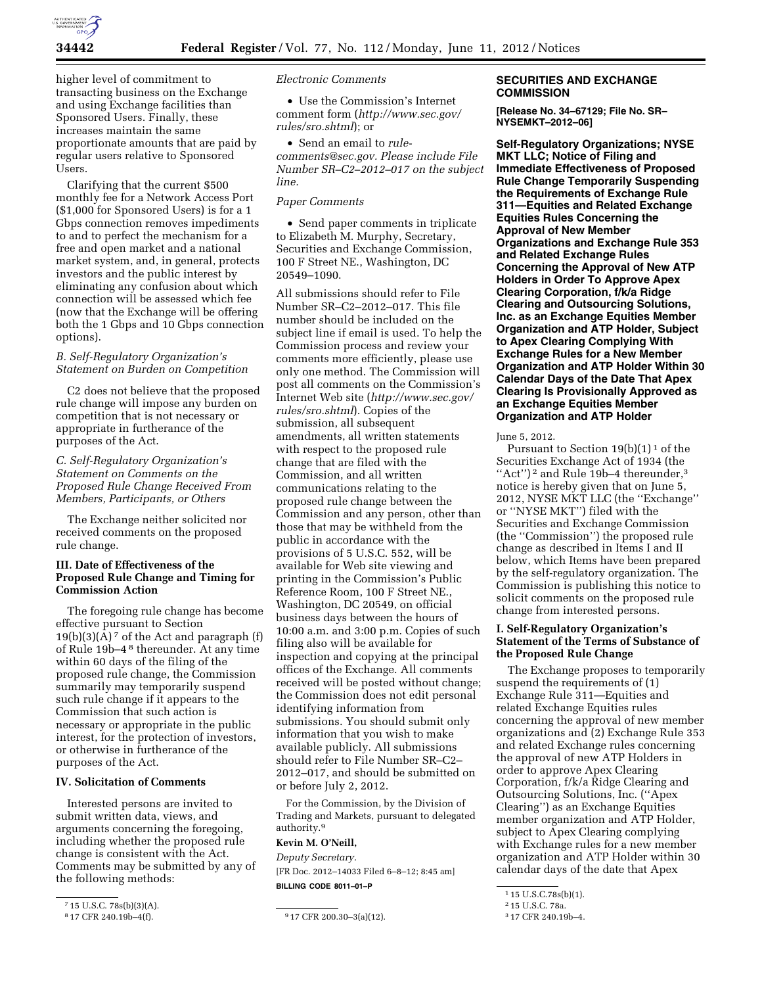

higher level of commitment to transacting business on the Exchange and using Exchange facilities than Sponsored Users. Finally, these increases maintain the same proportionate amounts that are paid by regular users relative to Sponsored Users.

Clarifying that the current \$500 monthly fee for a Network Access Port (\$1,000 for Sponsored Users) is for a 1 Gbps connection removes impediments to and to perfect the mechanism for a free and open market and a national market system, and, in general, protects investors and the public interest by eliminating any confusion about which connection will be assessed which fee (now that the Exchange will be offering both the 1 Gbps and 10 Gbps connection options).

# *B. Self-Regulatory Organization's Statement on Burden on Competition*

C2 does not believe that the proposed rule change will impose any burden on competition that is not necessary or appropriate in furtherance of the purposes of the Act.

# *C. Self-Regulatory Organization's Statement on Comments on the Proposed Rule Change Received From Members, Participants, or Others*

The Exchange neither solicited nor received comments on the proposed rule change.

# **III. Date of Effectiveness of the Proposed Rule Change and Timing for Commission Action**

The foregoing rule change has become effective pursuant to Section  $19(b)(3)(A)<sup>7</sup>$  of the Act and paragraph (f) of Rule 19b–4 8 thereunder. At any time within 60 days of the filing of the proposed rule change, the Commission summarily may temporarily suspend such rule change if it appears to the Commission that such action is necessary or appropriate in the public interest, for the protection of investors, or otherwise in furtherance of the purposes of the Act.

# **IV. Solicitation of Comments**

Interested persons are invited to submit written data, views, and arguments concerning the foregoing, including whether the proposed rule change is consistent with the Act. Comments may be submitted by any of the following methods:

*Electronic Comments* 

• Use the Commission's Internet comment form (*[http://www.sec.gov/](http://www.sec.gov/rules/sro.shtml)  [rules/sro.shtml](http://www.sec.gov/rules/sro.shtml)*); or

• Send an email to *[rule](mailto:rule-comments@sec.gov)[comments@sec.gov.](mailto:rule-comments@sec.gov) Please include File Number SR–C2–2012–017 on the subject line.* 

#### *Paper Comments*

• Send paper comments in triplicate to Elizabeth M. Murphy, Secretary, Securities and Exchange Commission, 100 F Street NE., Washington, DC 20549–1090.

All submissions should refer to File Number SR–C2–2012–017. This file number should be included on the subject line if email is used. To help the Commission process and review your comments more efficiently, please use only one method. The Commission will post all comments on the Commission's Internet Web site (*[http://www.sec.gov/](http://www.sec.gov/rules/sro.shtml)  [rules/sro.shtml](http://www.sec.gov/rules/sro.shtml)*). Copies of the submission, all subsequent amendments, all written statements with respect to the proposed rule change that are filed with the Commission, and all written communications relating to the proposed rule change between the Commission and any person, other than those that may be withheld from the public in accordance with the provisions of 5 U.S.C. 552, will be available for Web site viewing and printing in the Commission's Public Reference Room, 100 F Street NE., Washington, DC 20549, on official business days between the hours of 10:00 a.m. and 3:00 p.m. Copies of such filing also will be available for inspection and copying at the principal offices of the Exchange. All comments received will be posted without change; the Commission does not edit personal identifying information from submissions. You should submit only information that you wish to make available publicly. All submissions should refer to File Number SR–C2– 2012–017, and should be submitted on or before July 2, 2012.

For the Commission, by the Division of Trading and Markets, pursuant to delegated authority.9

# **Kevin M. O'Neill,**

*Deputy Secretary.*  [FR Doc. 2012–14033 Filed 6–8–12; 8:45 am] **BILLING CODE 8011–01–P** 

# **SECURITIES AND EXCHANGE COMMISSION**

**[Release No. 34–67129; File No. SR– NYSEMKT–2012–06]** 

**Self-Regulatory Organizations; NYSE MKT LLC; Notice of Filing and Immediate Effectiveness of Proposed Rule Change Temporarily Suspending the Requirements of Exchange Rule 311—Equities and Related Exchange Equities Rules Concerning the Approval of New Member Organizations and Exchange Rule 353 and Related Exchange Rules Concerning the Approval of New ATP Holders in Order To Approve Apex Clearing Corporation, f/k/a Ridge Clearing and Outsourcing Solutions, Inc. as an Exchange Equities Member Organization and ATP Holder, Subject to Apex Clearing Complying With Exchange Rules for a New Member Organization and ATP Holder Within 30 Calendar Days of the Date That Apex Clearing Is Provisionally Approved as an Exchange Equities Member Organization and ATP Holder** 

June 5, 2012.

Pursuant to Section  $19(b)(1)^1$  of the Securities Exchange Act of 1934 (the "Act")<sup>2</sup> and Rule 19b-4 thereunder,<sup>3</sup> notice is hereby given that on June 5, 2012, NYSE MKT LLC (the ''Exchange'' or ''NYSE MKT'') filed with the Securities and Exchange Commission (the ''Commission'') the proposed rule change as described in Items I and II below, which Items have been prepared by the self-regulatory organization. The Commission is publishing this notice to solicit comments on the proposed rule change from interested persons.

# **I. Self-Regulatory Organization's Statement of the Terms of Substance of the Proposed Rule Change**

The Exchange proposes to temporarily suspend the requirements of (1) Exchange Rule 311—Equities and related Exchange Equities rules concerning the approval of new member organizations and (2) Exchange Rule 353 and related Exchange rules concerning the approval of new ATP Holders in order to approve Apex Clearing Corporation, f/k/a Ridge Clearing and Outsourcing Solutions, Inc. (''Apex Clearing'') as an Exchange Equities member organization and ATP Holder, subject to Apex Clearing complying with Exchange rules for a new member organization and ATP Holder within 30 calendar days of the date that Apex

1 15 U.S.C.78s(b)(1).

 $715$  U.S.C. 78s(b)(3)(A).<br><sup>8</sup>17 CFR 240.19b-4(f).

 $917$  CFR 200.30-3(a)(12).

<sup>2</sup> 15 U.S.C. 78a. 3 17 CFR 240.19b–4.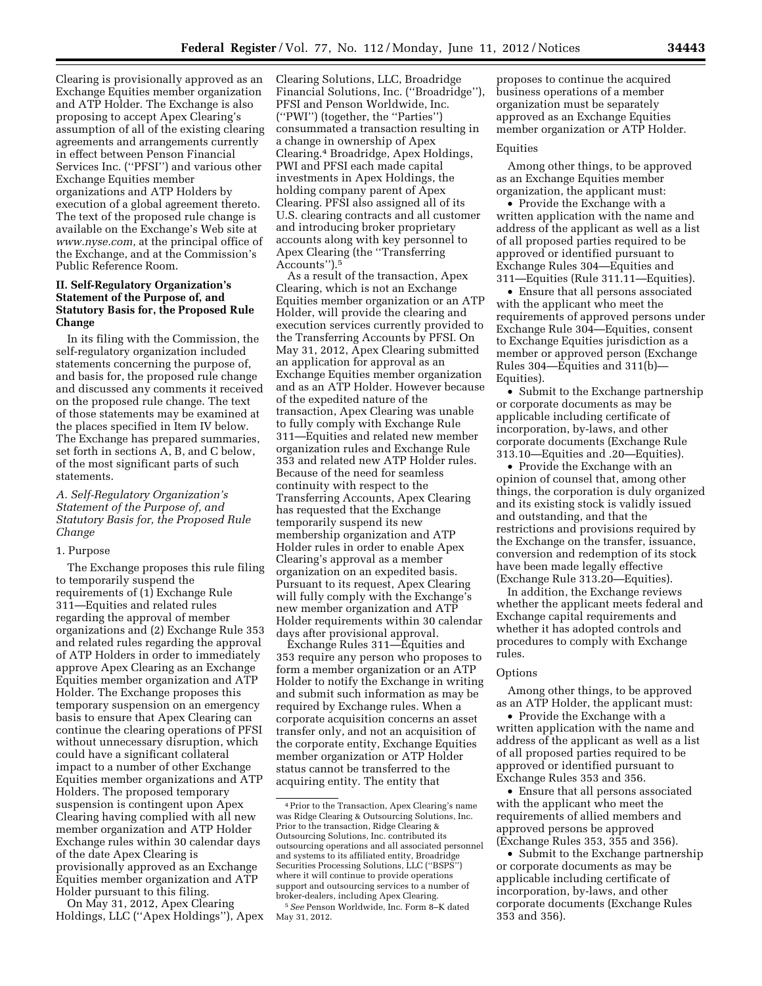Clearing is provisionally approved as an Exchange Equities member organization and ATP Holder. The Exchange is also proposing to accept Apex Clearing's assumption of all of the existing clearing agreements and arrangements currently in effect between Penson Financial Services Inc. (''PFSI'') and various other Exchange Equities member organizations and ATP Holders by execution of a global agreement thereto. The text of the proposed rule change is available on the Exchange's Web site at *[www.nyse.com,](http://www.nyse.com)* at the principal office of the Exchange, and at the Commission's Public Reference Room.

# **II. Self-Regulatory Organization's Statement of the Purpose of, and Statutory Basis for, the Proposed Rule Change**

In its filing with the Commission, the self-regulatory organization included statements concerning the purpose of, and basis for, the proposed rule change and discussed any comments it received on the proposed rule change. The text of those statements may be examined at the places specified in Item IV below. The Exchange has prepared summaries, set forth in sections A, B, and C below, of the most significant parts of such statements.

## *A. Self-Regulatory Organization's Statement of the Purpose of, and Statutory Basis for, the Proposed Rule Change*

#### 1. Purpose

The Exchange proposes this rule filing to temporarily suspend the requirements of (1) Exchange Rule 311—Equities and related rules regarding the approval of member organizations and (2) Exchange Rule 353 and related rules regarding the approval of ATP Holders in order to immediately approve Apex Clearing as an Exchange Equities member organization and ATP Holder. The Exchange proposes this temporary suspension on an emergency basis to ensure that Apex Clearing can continue the clearing operations of PFSI without unnecessary disruption, which could have a significant collateral impact to a number of other Exchange Equities member organizations and ATP Holders. The proposed temporary suspension is contingent upon Apex Clearing having complied with all new member organization and ATP Holder Exchange rules within 30 calendar days of the date Apex Clearing is provisionally approved as an Exchange Equities member organization and ATP Holder pursuant to this filing.

On May 31, 2012, Apex Clearing Holdings, LLC (''Apex Holdings''), Apex

Clearing Solutions, LLC, Broadridge Financial Solutions, Inc. (''Broadridge''), PFSI and Penson Worldwide, Inc. (''PWI'') (together, the ''Parties'') consummated a transaction resulting in a change in ownership of Apex Clearing.4 Broadridge, Apex Holdings, PWI and PFSI each made capital investments in Apex Holdings, the holding company parent of Apex Clearing. PFSI also assigned all of its U.S. clearing contracts and all customer and introducing broker proprietary accounts along with key personnel to Apex Clearing (the ''Transferring Accounts'').5

As a result of the transaction, Apex Clearing, which is not an Exchange Equities member organization or an ATP Holder, will provide the clearing and execution services currently provided to the Transferring Accounts by PFSI. On May 31, 2012, Apex Clearing submitted an application for approval as an Exchange Equities member organization and as an ATP Holder. However because of the expedited nature of the transaction, Apex Clearing was unable to fully comply with Exchange Rule 311—Equities and related new member organization rules and Exchange Rule 353 and related new ATP Holder rules. Because of the need for seamless continuity with respect to the Transferring Accounts, Apex Clearing has requested that the Exchange temporarily suspend its new membership organization and ATP Holder rules in order to enable Apex Clearing's approval as a member organization on an expedited basis. Pursuant to its request, Apex Clearing will fully comply with the Exchange's new member organization and ATP Holder requirements within 30 calendar days after provisional approval.

Exchange Rules 311—Equities and 353 require any person who proposes to form a member organization or an ATP Holder to notify the Exchange in writing and submit such information as may be required by Exchange rules. When a corporate acquisition concerns an asset transfer only, and not an acquisition of the corporate entity, Exchange Equities member organization or ATP Holder status cannot be transferred to the acquiring entity. The entity that

proposes to continue the acquired business operations of a member organization must be separately approved as an Exchange Equities member organization or ATP Holder.

#### Equities

Among other things, to be approved as an Exchange Equities member organization, the applicant must:

• Provide the Exchange with a written application with the name and address of the applicant as well as a list of all proposed parties required to be approved or identified pursuant to Exchange Rules 304—Equities and 311—Equities (Rule 311.11—Equities).

• Ensure that all persons associated with the applicant who meet the requirements of approved persons under Exchange Rule 304—Equities, consent to Exchange Equities jurisdiction as a member or approved person (Exchange Rules 304—Equities and 311(b)— Equities).

• Submit to the Exchange partnership or corporate documents as may be applicable including certificate of incorporation, by-laws, and other corporate documents (Exchange Rule 313.10—Equities and .20—Equities).

• Provide the Exchange with an opinion of counsel that, among other things, the corporation is duly organized and its existing stock is validly issued and outstanding, and that the restrictions and provisions required by the Exchange on the transfer, issuance, conversion and redemption of its stock have been made legally effective (Exchange Rule 313.20—Equities).

In addition, the Exchange reviews whether the applicant meets federal and Exchange capital requirements and whether it has adopted controls and procedures to comply with Exchange rules.

#### Options

Among other things, to be approved as an ATP Holder, the applicant must:

• Provide the Exchange with a written application with the name and address of the applicant as well as a list of all proposed parties required to be approved or identified pursuant to Exchange Rules 353 and 356.

• Ensure that all persons associated with the applicant who meet the requirements of allied members and approved persons be approved (Exchange Rules 353, 355 and 356).

• Submit to the Exchange partnership or corporate documents as may be applicable including certificate of incorporation, by-laws, and other corporate documents (Exchange Rules 353 and 356).

<sup>4</sup>Prior to the Transaction, Apex Clearing's name was Ridge Clearing & Outsourcing Solutions, Inc. Prior to the transaction, Ridge Clearing & Outsourcing Solutions, Inc. contributed its outsourcing operations and all associated personnel and systems to its affiliated entity, Broadridge Securities Processing Solutions, LLC (''BSPS'') where it will continue to provide operations support and outsourcing services to a number of broker-dealers, including Apex Clearing. 5*See* Penson Worldwide, Inc. Form 8–K dated

May 31, 2012.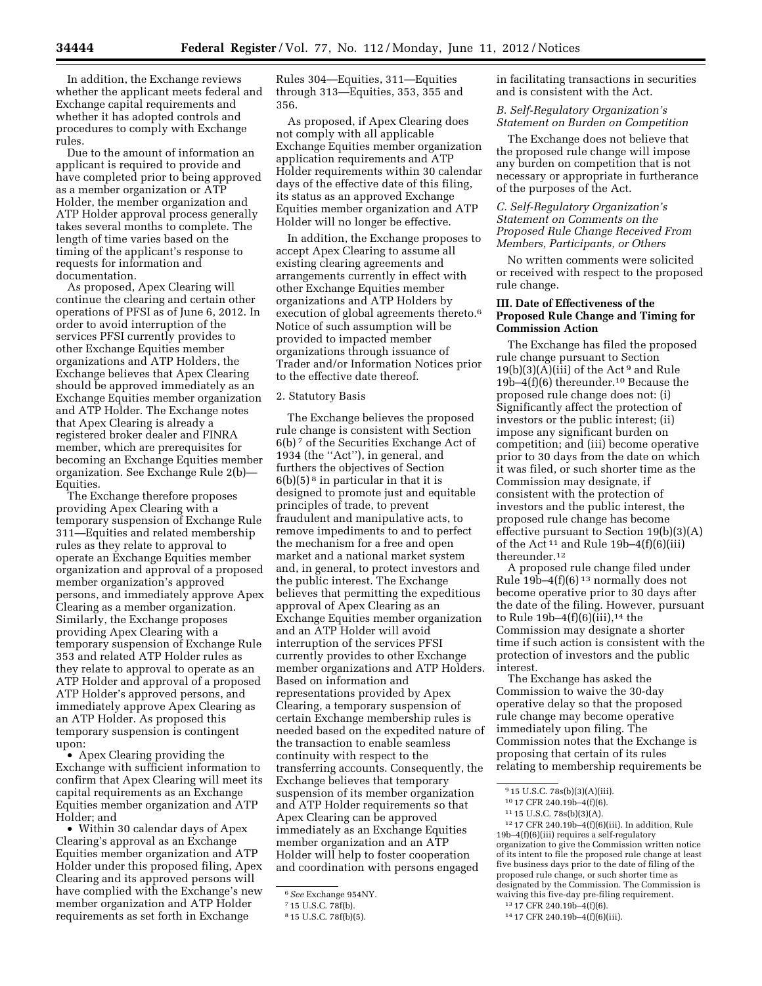In addition, the Exchange reviews whether the applicant meets federal and Exchange capital requirements and whether it has adopted controls and procedures to comply with Exchange rules.

Due to the amount of information an applicant is required to provide and have completed prior to being approved as a member organization or ATP Holder, the member organization and ATP Holder approval process generally takes several months to complete. The length of time varies based on the timing of the applicant's response to requests for information and documentation.

As proposed, Apex Clearing will continue the clearing and certain other operations of PFSI as of June 6, 2012. In order to avoid interruption of the services PFSI currently provides to other Exchange Equities member organizations and ATP Holders, the Exchange believes that Apex Clearing should be approved immediately as an Exchange Equities member organization and ATP Holder. The Exchange notes that Apex Clearing is already a registered broker dealer and FINRA member, which are prerequisites for becoming an Exchange Equities member organization. See Exchange Rule 2(b)— Equities.

The Exchange therefore proposes providing Apex Clearing with a temporary suspension of Exchange Rule 311—Equities and related membership rules as they relate to approval to operate an Exchange Equities member organization and approval of a proposed member organization's approved persons, and immediately approve Apex Clearing as a member organization. Similarly, the Exchange proposes providing Apex Clearing with a temporary suspension of Exchange Rule 353 and related ATP Holder rules as they relate to approval to operate as an ATP Holder and approval of a proposed ATP Holder's approved persons, and immediately approve Apex Clearing as an ATP Holder. As proposed this temporary suspension is contingent upon:

• Apex Clearing providing the Exchange with sufficient information to confirm that Apex Clearing will meet its capital requirements as an Exchange Equities member organization and ATP Holder; and

• Within 30 calendar days of Apex Clearing's approval as an Exchange Equities member organization and ATP Holder under this proposed filing, Apex Clearing and its approved persons will have complied with the Exchange's new member organization and ATP Holder requirements as set forth in Exchange

Rules 304—Equities, 311—Equities through 313—Equities, 353, 355 and 356.

As proposed, if Apex Clearing does not comply with all applicable Exchange Equities member organization application requirements and ATP Holder requirements within 30 calendar days of the effective date of this filing, its status as an approved Exchange Equities member organization and ATP Holder will no longer be effective.

In addition, the Exchange proposes to accept Apex Clearing to assume all existing clearing agreements and arrangements currently in effect with other Exchange Equities member organizations and ATP Holders by execution of global agreements thereto.<sup>6</sup> Notice of such assumption will be provided to impacted member organizations through issuance of Trader and/or Information Notices prior to the effective date thereof.

#### 2. Statutory Basis

The Exchange believes the proposed rule change is consistent with Section 6(b) 7 of the Securities Exchange Act of 1934 (the ''Act''), in general, and furthers the objectives of Section  $6(b)(5)^8$  in particular in that it is designed to promote just and equitable principles of trade, to prevent fraudulent and manipulative acts, to remove impediments to and to perfect the mechanism for a free and open market and a national market system and, in general, to protect investors and the public interest. The Exchange believes that permitting the expeditious approval of Apex Clearing as an Exchange Equities member organization and an ATP Holder will avoid interruption of the services PFSI currently provides to other Exchange member organizations and ATP Holders. Based on information and representations provided by Apex Clearing, a temporary suspension of certain Exchange membership rules is needed based on the expedited nature of the transaction to enable seamless continuity with respect to the transferring accounts. Consequently, the Exchange believes that temporary suspension of its member organization and ATP Holder requirements so that Apex Clearing can be approved immediately as an Exchange Equities member organization and an ATP Holder will help to foster cooperation and coordination with persons engaged

in facilitating transactions in securities and is consistent with the Act.

## *B. Self-Regulatory Organization's Statement on Burden on Competition*

The Exchange does not believe that the proposed rule change will impose any burden on competition that is not necessary or appropriate in furtherance of the purposes of the Act.

# *C. Self-Regulatory Organization's Statement on Comments on the Proposed Rule Change Received From Members, Participants, or Others*

No written comments were solicited or received with respect to the proposed rule change.

# **III. Date of Effectiveness of the Proposed Rule Change and Timing for Commission Action**

The Exchange has filed the proposed rule change pursuant to Section  $19(b)(3)(A)(iii)$  of the Act<sup>9</sup> and Rule 19b–4(f)(6) thereunder.10 Because the proposed rule change does not: (i) Significantly affect the protection of investors or the public interest; (ii) impose any significant burden on competition; and (iii) become operative prior to 30 days from the date on which it was filed, or such shorter time as the Commission may designate, if consistent with the protection of investors and the public interest, the proposed rule change has become effective pursuant to Section 19(b)(3)(A) of the Act<sup>11</sup> and Rule 19b–4 $(f)(6)(iii)$ thereunder.12

A proposed rule change filed under Rule  $19b-4(f)(6)^{13}$  normally does not become operative prior to 30 days after the date of the filing. However, pursuant to Rule  $19b-4(f)(6)(iii)$ ,<sup>14</sup> the Commission may designate a shorter time if such action is consistent with the protection of investors and the public interest.

The Exchange has asked the Commission to waive the 30-day operative delay so that the proposed rule change may become operative immediately upon filing. The Commission notes that the Exchange is proposing that certain of its rules relating to membership requirements be

12 17 CFR 240.19b–4(f)(6)(iii). In addition, Rule 19b–4(f)(6)(iii) requires a self-regulatory organization to give the Commission written notice of its intent to file the proposed rule change at least five business days prior to the date of filing of the proposed rule change, or such shorter time as designated by the Commission. The Commission is waiving this five-day pre-filing requirement.

<sup>6</sup>*See* Exchange 954NY.

<sup>7</sup> 15 U.S.C. 78f(b).

<sup>8</sup> 15 U.S.C. 78f(b)(5).

<sup>9</sup> 15 U.S.C. 78s(b)(3)(A)(iii).

<sup>10</sup> 17 CFR 240.19b–4(f)(6).

<sup>11</sup> 15 U.S.C. 78s(b)(3)(A).

<sup>13</sup> 17 CFR 240.19b–4(f)(6).

<sup>14</sup> 17 CFR 240.19b–4(f)(6)(iii).